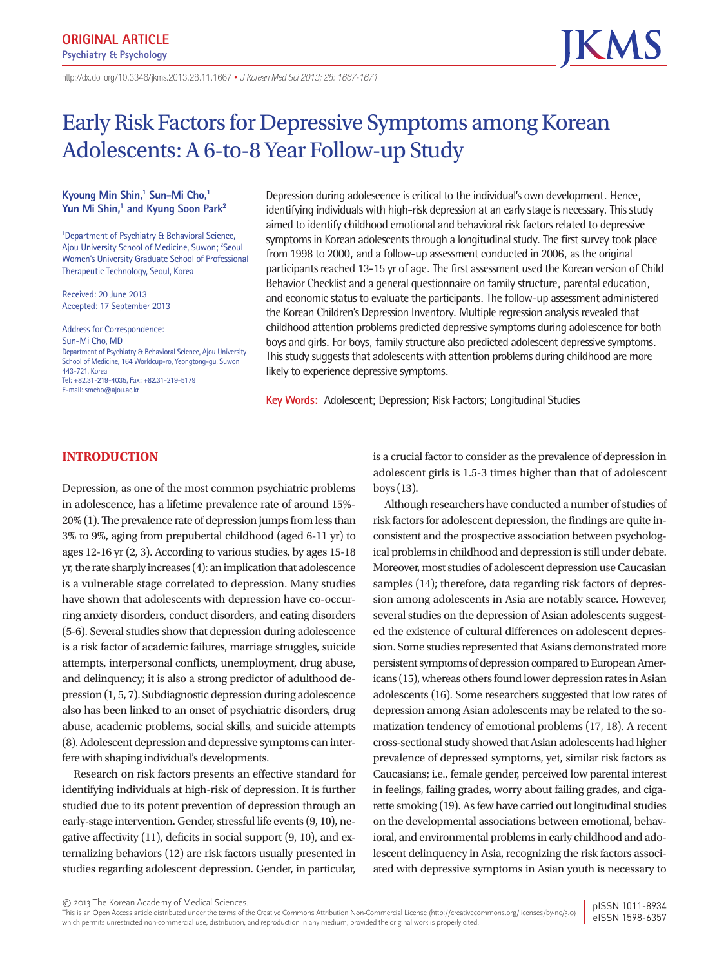**ORIGINAL ARTICLE Psychiatry & Psychology**

# Early Risk Factors for Depressive Symptoms among Korean Adolescents: A 6-to-8 Year Follow-up Study

# Kyoung Min Shin,<sup>1</sup> Sun-Mi Cho,<sup>1</sup> Yun Mi Shin,<sup>1</sup> and Kyung Soon Park<sup>2</sup>

<sup>1</sup>Department of Psychiatry & Behavioral Science, Ajou University School of Medicine, Suwon; <sup>2</sup>Seoul Women's University Graduate School of Professional Therapeutic Technology, Seoul, Korea

Received: 20 June 2013 Accepted: 17 September 2013

Address for Correspondence: Sun-Mi Cho, MD Department of Psychiatry & Behavioral Science, Ajou University School of Medicine, 164 Worldcup-ro, Yeongtong-gu, Suwon 443-721, Korea Tel: +82.31-219-4035, Fax: +82.31-219-5179 E-mail: smcho@ajou.ac.kr

Depression during adolescence is critical to the individual's own development. Hence, identifying individuals with high-risk depression at an early stage is necessary. This study aimed to identify childhood emotional and behavioral risk factors related to depressive symptoms in Korean adolescents through a longitudinal study. The first survey took place from 1998 to 2000, and a follow-up assessment conducted in 2006, as the original participants reached 13-15 yr of age. The first assessment used the Korean version of Child Behavior Checklist and a general questionnaire on family structure, parental education, and economic status to evaluate the participants. The follow-up assessment administered the Korean Children's Depression Inventory. Multiple regression analysis revealed that childhood attention problems predicted depressive symptoms during adolescence for both boys and girls. For boys, family structure also predicted adolescent depressive symptoms. This study suggests that adolescents with attention problems during childhood are more likely to experience depressive symptoms.

**Key Words:** Adolescent; Depression; Risk Factors; Longitudinal Studies

# **INTRODUCTION**

Depression, as one of the most common psychiatric problems in adolescence, has a lifetime prevalence rate of around 15%- 20% (1). The prevalence rate of depression jumps from less than 3% to 9%, aging from prepubertal childhood (aged 6-11 yr) to ages 12-16 yr (2, 3). According to various studies, by ages 15-18 yr, the rate sharply increases (4): an implication that adolescence is a vulnerable stage correlated to depression. Many studies have shown that adolescents with depression have co-occurring anxiety disorders, conduct disorders, and eating disorders (5-6). Several studies show that depression during adolescence is a risk factor of academic failures, marriage struggles, suicide attempts, interpersonal conflicts, unemployment, drug abuse, and delinquency; it is also a strong predictor of adulthood depression (1, 5, 7). Subdiagnostic depression during adolescence also has been linked to an onset of psychiatric disorders, drug abuse, academic problems, social skills, and suicide attempts (8). Adolescent depression and depressive symptoms can interfere with shaping individual's developments.

Research on risk factors presents an effective standard for identifying individuals at high-risk of depression. It is further studied due to its potent prevention of depression through an early-stage intervention. Gender, stressful life events (9, 10), negative affectivity (11), deficits in social support (9, 10), and externalizing behaviors (12) are risk factors usually presented in studies regarding adolescent depression. Gender, in particular,

is a crucial factor to consider as the prevalence of depression in adolescent girls is 1.5-3 times higher than that of adolescent boys (13).

Although researchers have conducted a number of studies of risk factors for adolescent depression, the findings are quite inconsistent and the prospective association between psychological problems in childhood and depression is still under debate. Moreover, most studies of adolescent depression use Caucasian samples (14); therefore, data regarding risk factors of depression among adolescents in Asia are notably scarce. However, several studies on the depression of Asian adolescents suggested the existence of cultural differences on adolescent depression. Some studies represented that Asians demonstrated more persistent symptoms of depression compared to European Americans (15), whereas others found lower depression rates in Asian adolescents (16). Some researchers suggested that low rates of depression among Asian adolescents may be related to the somatization tendency of emotional problems (17, 18). A recent cross-sectional study showed that Asian adolescents had higher prevalence of depressed symptoms, yet, similar risk factors as Caucasians; i.e., female gender, perceived low parental interest in feelings, failing grades, worry about failing grades, and cigarette smoking (19). As few have carried out longitudinal studies on the developmental associations between emotional, behavioral, and environmental problems in early childhood and adolescent delinquency in Asia, recognizing the risk factors associated with depressive symptoms in Asian youth is necessary to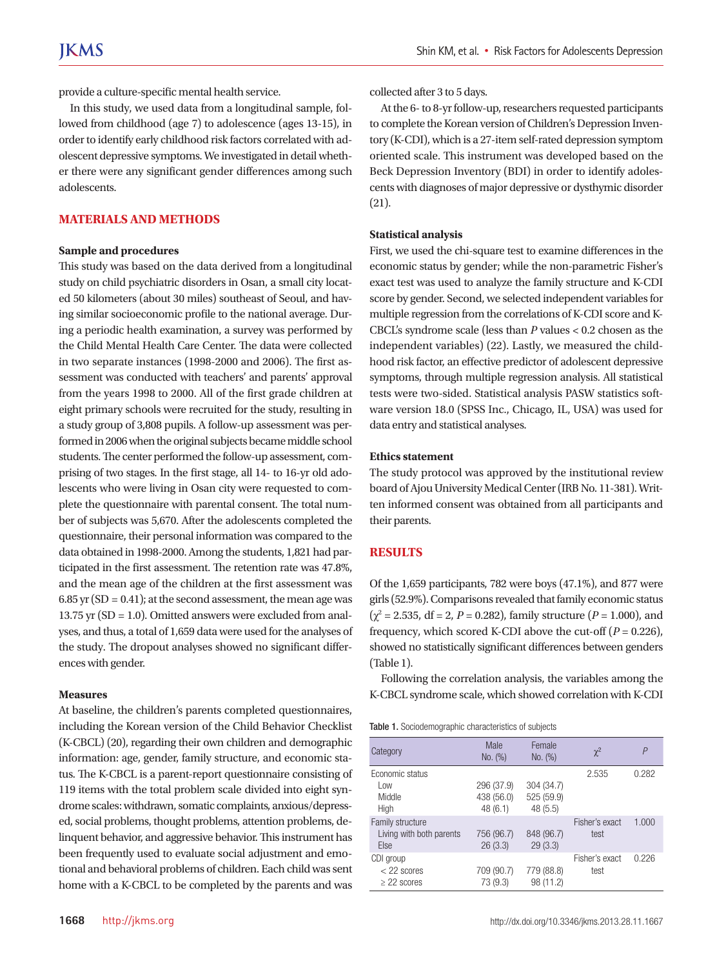provide a culture-specific mental health service.

In this study, we used data from a longitudinal sample, followed from childhood (age 7) to adolescence (ages 13-15), in order to identify early childhood risk factors correlated with adolescent depressive symptoms. We investigated in detail whether there were any significant gender differences among such adolescents.

# **MATERIALS AND METHODS**

#### **Sample and procedures**

This study was based on the data derived from a longitudinal study on child psychiatric disorders in Osan, a small city located 50 kilometers (about 30 miles) southeast of Seoul, and having similar socioeconomic profile to the national average. During a periodic health examination, a survey was performed by the Child Mental Health Care Center. The data were collected in two separate instances (1998-2000 and 2006). The first assessment was conducted with teachers' and parents' approval from the years 1998 to 2000. All of the first grade children at eight primary schools were recruited for the study, resulting in a study group of 3,808 pupils. A follow-up assessment was performed in 2006 when the original subjects became middle school students. The center performed the follow-up assessment, comprising of two stages. In the first stage, all 14- to 16-yr old adolescents who were living in Osan city were requested to complete the questionnaire with parental consent. The total number of subjects was 5,670. After the adolescents completed the questionnaire, their personal information was compared to the data obtained in 1998-2000. Among the students, 1,821 had participated in the first assessment. The retention rate was 47.8%, and the mean age of the children at the first assessment was  $6.85$  yr (SD = 0.41); at the second assessment, the mean age was 13.75 yr (SD = 1.0). Omitted answers were excluded from analyses, and thus, a total of 1,659 data were used for the analyses of the study. The dropout analyses showed no significant differences with gender.

#### **Measures**

At baseline, the children's parents completed questionnaires, including the Korean version of the Child Behavior Checklist (K-CBCL) (20), regarding their own children and demographic information: age, gender, family structure, and economic status. The K-CBCL is a parent-report questionnaire consisting of 119 items with the total problem scale divided into eight syndrome scales: withdrawn, somatic complaints, anxious/depressed, social problems, thought problems, attention problems, delinquent behavior, and aggressive behavior. This instrument has been frequently used to evaluate social adjustment and emotional and behavioral problems of children. Each child was sent home with a K-CBCL to be completed by the parents and was

collected after 3 to 5 days.

At the 6- to 8-yr follow-up, researchers requested participants to complete the Korean version of Children's Depression Inventory (K-CDI), which is a 27-item self-rated depression symptom oriented scale. This instrument was developed based on the Beck Depression Inventory (BDI) in order to identify adolescents with diagnoses of major depressive or dysthymic disorder (21).

#### **Statistical analysis**

First, we used the chi-square test to examine differences in the economic status by gender; while the non-parametric Fisher's exact test was used to analyze the family structure and K-CDI score by gender. Second, we selected independent variables for multiple regression from the correlations of K-CDI score and K-CBCL's syndrome scale (less than *P* values < 0.2 chosen as the independent variables) (22). Lastly, we measured the childhood risk factor, an effective predictor of adolescent depressive symptoms, through multiple regression analysis. All statistical tests were two-sided. Statistical analysis PASW statistics software version 18.0 (SPSS Inc., Chicago, IL, USA) was used for data entry and statistical analyses.

#### **Ethics statement**

The study protocol was approved by the institutional review board of Ajou University Medical Center (IRB No. 11-381). Written informed consent was obtained from all participants and their parents.

### **RESULTS**

Of the 1,659 participants, 782 were boys (47.1%), and 877 were girls (52.9%). Comparisons revealed that family economic status  $(\chi^2 = 2.535, df = 2, P = 0.282)$ , family structure  $(P = 1.000)$ , and frequency, which scored K-CDI above the cut-off  $(P = 0.226)$ , showed no statistically significant differences between genders (Table 1).

Following the correlation analysis, the variables among the K-CBCL syndrome scale, which showed correlation with K-CDI

Table 1. Sociodemographic characteristics of subjects

| Category                                             | Male<br>No. (%)                     | Female<br>No. (%)                   | $\chi^2$               | P     |
|------------------------------------------------------|-------------------------------------|-------------------------------------|------------------------|-------|
| Economic status<br>Low<br>Middle<br>High             | 296 (37.9)<br>438 (56.0)<br>48(6.1) | 304 (34.7)<br>525 (59.9)<br>48(5.5) | 2.535                  | 0.282 |
| Family structure<br>Living with both parents<br>Else | 756 (96.7)<br>26(3.3)               | 848 (96.7)<br>29(3.3)               | Fisher's exact<br>test | 1.000 |
| CDI group<br>$<$ 22 scores<br>$\geq$ 22 scores       | 709 (90.7)<br>73 (9.3)              | 779 (88.8)<br>98 (11.2)             | Fisher's exact<br>test | 0.226 |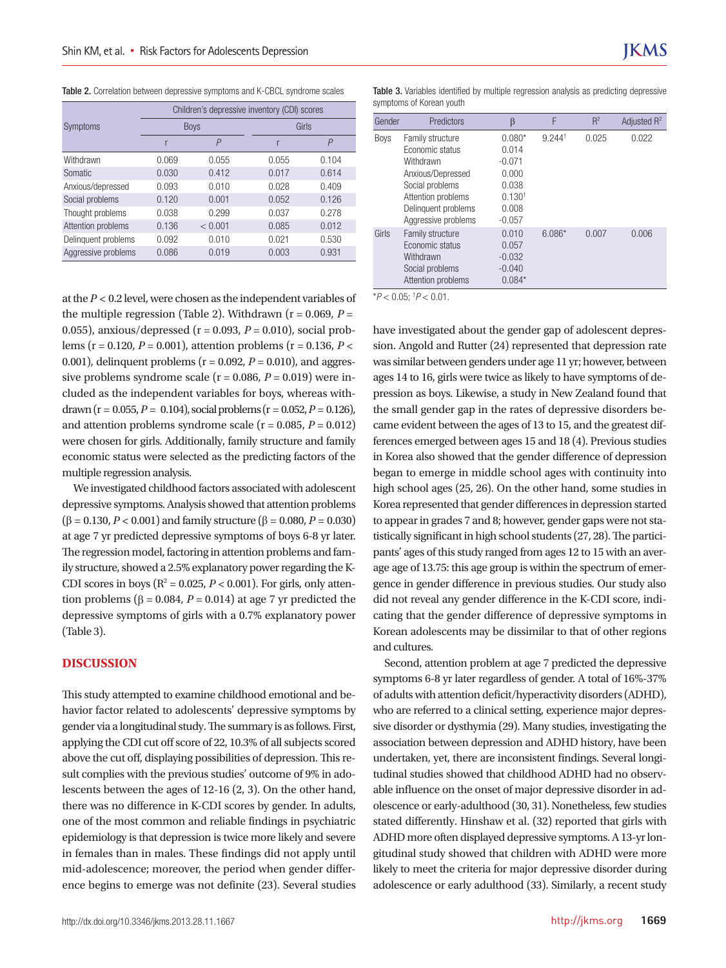Table 2. Correlation between depressive symptoms and K-CBCL syndrome scales

|                     | Children's depressive inventory (CDI) scores |                |       |       |  |  |
|---------------------|----------------------------------------------|----------------|-------|-------|--|--|
| Symptoms            |                                              | <b>Boys</b>    |       | Girls |  |  |
|                     | r                                            | $\overline{P}$ |       | P     |  |  |
| Withdrawn           | 0.069                                        | 0.055          | 0.055 | 0.104 |  |  |
| Somatic             | 0.030                                        | 0.412          | 0.017 | 0.614 |  |  |
| Anxious/depressed   | 0.093                                        | 0.010          | 0.028 | 0.409 |  |  |
| Social problems     | 0.120                                        | 0.001          | 0.052 | 0.126 |  |  |
| Thought problems    | 0.038                                        | 0.299          | 0.037 | 0.278 |  |  |
| Attention problems  | 0.136                                        | < 0.001        | 0.085 | 0.012 |  |  |
| Delinquent problems | 0.092                                        | 0.010          | 0.021 | 0.530 |  |  |
| Aggressive problems | 0.086                                        | 0.019          | 0.003 | 0.931 |  |  |

at the  $P < 0.2$  level, were chosen as the independent variables of  $p < 0.05$ ;  $p < 0.01$ . the multiple regression (Table 2). Withdrawn ( $r = 0.069$ ,  $P =$ 0.055), anxious/depressed (r = 0.093, *P* = 0.010), social problems (r = 0.120, *P* = 0.001), attention problems (r = 0.136, *P* < 0.001), delinquent problems  $(r = 0.092, P = 0.010)$ , and aggressive problems syndrome scale ( $r = 0.086$ ,  $P = 0.019$ ) were included as the independent variables for boys, whereas withdrawn (r = 0.055,  $P = 0.104$ ), social problems (r = 0.052,  $P = 0.126$ ), and attention problems syndrome scale  $(r = 0.085, P = 0.012)$ were chosen for girls. Additionally, family structure and family economic status were selected as the predicting factors of the multiple regression analysis.

We investigated childhood factors associated with adolescent depressive symptoms. Analysis showed that attention problems (β = 0.130, *P* < 0.001) and family structure (β = 0.080, *P* = 0.030) at age 7 yr predicted depressive symptoms of boys 6-8 yr later. The regression model, factoring in attention problems and family structure, showed a 2.5% explanatory power regarding the K-CDI scores in boys ( $R^2 = 0.025$ ,  $P < 0.001$ ). For girls, only attention problems ( $\beta$  = 0.084, *P* = 0.014) at age 7 yr predicted the depressive symptoms of girls with a 0.7% explanatory power (Table 3).

#### **DISCUSSION**

This study attempted to examine childhood emotional and behavior factor related to adolescents' depressive symptoms by gender via a longitudinal study. The summary is as follows. First, applying the CDI cut off score of 22, 10.3% of all subjects scored above the cut off, displaying possibilities of depression. This result complies with the previous studies' outcome of 9% in adolescents between the ages of 12-16 (2, 3). On the other hand, there was no difference in K-CDI scores by gender. In adults, one of the most common and reliable findings in psychiatric epidemiology is that depression is twice more likely and severe in females than in males. These findings did not apply until mid-adolescence; moreover, the period when gender difference begins to emerge was not definite (23). Several studies

Table 3. Variables identified by multiple regression analysis as predicting depressive symptoms of Korean youth

| Gender      | Predictors                                                                                                                                                   | ß                                                                                          | F                    | $R^2$ | Adjusted $R^2$ |
|-------------|--------------------------------------------------------------------------------------------------------------------------------------------------------------|--------------------------------------------------------------------------------------------|----------------------|-------|----------------|
| <b>Boys</b> | Family structure<br>Economic status<br>Withdrawn<br>Anxious/Depressed<br>Social problems<br>Attention problems<br>Delinquent problems<br>Aggressive problems | $0.080*$<br>0.014<br>$-0.071$<br>0.000<br>0.038<br>0.130 <sup>†</sup><br>0.008<br>$-0.057$ | $9.244$ <sup>+</sup> | 0.025 | 0.022          |
| Girls       | Family structure<br>Economic status<br>Withdrawn<br>Social problems<br>Attention problems                                                                    | 0.010<br>0.057<br>$-0.032$<br>$-0.040$<br>$0.084*$                                         | $6.086*$             | 0.007 | 0.006          |

have investigated about the gender gap of adolescent depression. Angold and Rutter (24) represented that depression rate was similar between genders under age 11 yr; however, between ages 14 to 16, girls were twice as likely to have symptoms of depression as boys. Likewise, a study in New Zealand found that the small gender gap in the rates of depressive disorders became evident between the ages of 13 to 15, and the greatest differences emerged between ages 15 and 18 (4). Previous studies in Korea also showed that the gender difference of depression began to emerge in middle school ages with continuity into high school ages (25, 26). On the other hand, some studies in Korea represented that gender differences in depression started to appear in grades 7 and 8; however, gender gaps were not statistically significant in high school students (27, 28). The participants' ages of this study ranged from ages 12 to 15 with an average age of 13.75: this age group is within the spectrum of emergence in gender difference in previous studies. Our study also did not reveal any gender difference in the K-CDI score, indicating that the gender difference of depressive symptoms in Korean adolescents may be dissimilar to that of other regions and cultures.

Second, attention problem at age 7 predicted the depressive symptoms 6-8 yr later regardless of gender. A total of 16%-37% of adults with attention deficit/hyperactivity disorders (ADHD), who are referred to a clinical setting, experience major depressive disorder or dysthymia (29). Many studies, investigating the association between depression and ADHD history, have been undertaken, yet, there are inconsistent findings. Several longitudinal studies showed that childhood ADHD had no observable influence on the onset of major depressive disorder in adolescence or early-adulthood (30, 31). Nonetheless, few studies stated differently. Hinshaw et al. (32) reported that girls with ADHD more often displayed depressive symptoms. A 13-yr longitudinal study showed that children with ADHD were more likely to meet the criteria for major depressive disorder during adolescence or early adulthood (33). Similarly, a recent study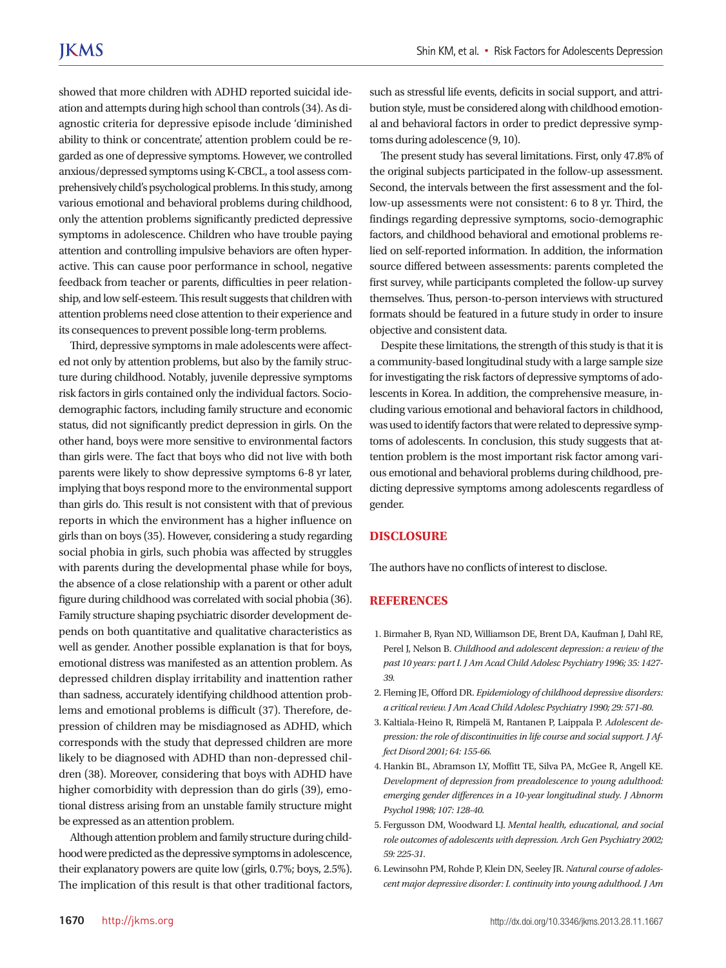showed that more children with ADHD reported suicidal ideation and attempts during high school than controls (34). As diagnostic criteria for depressive episode include 'diminished ability to think or concentrate', attention problem could be regarded as one of depressive symptoms. However, we controlled anxious/depressed symptoms using K-CBCL, a tool assess comprehensively child's psychological problems. In this study, among various emotional and behavioral problems during childhood, only the attention problems significantly predicted depressive symptoms in adolescence. Children who have trouble paying attention and controlling impulsive behaviors are often hyperactive. This can cause poor performance in school, negative feedback from teacher or parents, difficulties in peer relationship, and low self-esteem. This result suggests that children with attention problems need close attention to their experience and its consequences to prevent possible long-term problems.

Third, depressive symptoms in male adolescents were affected not only by attention problems, but also by the family structure during childhood. Notably, juvenile depressive symptoms risk factors in girls contained only the individual factors. Sociodemographic factors, including family structure and economic status, did not significantly predict depression in girls. On the other hand, boys were more sensitive to environmental factors than girls were. The fact that boys who did not live with both parents were likely to show depressive symptoms 6-8 yr later, implying that boys respond more to the environmental support than girls do. This result is not consistent with that of previous reports in which the environment has a higher influence on girls than on boys (35). However, considering a study regarding social phobia in girls, such phobia was affected by struggles with parents during the developmental phase while for boys, the absence of a close relationship with a parent or other adult figure during childhood was correlated with social phobia (36). Family structure shaping psychiatric disorder development depends on both quantitative and qualitative characteristics as well as gender. Another possible explanation is that for boys, emotional distress was manifested as an attention problem. As depressed children display irritability and inattention rather than sadness, accurately identifying childhood attention problems and emotional problems is difficult (37). Therefore, depression of children may be misdiagnosed as ADHD, which corresponds with the study that depressed children are more likely to be diagnosed with ADHD than non-depressed children (38). Moreover, considering that boys with ADHD have higher comorbidity with depression than do girls (39), emotional distress arising from an unstable family structure might be expressed as an attention problem.

Although attention problem and family structure during childhood were predicted as the depressive symptoms in adolescence, their explanatory powers are quite low (girls, 0.7%; boys, 2.5%). The implication of this result is that other traditional factors, such as stressful life events, deficits in social support, and attribution style, must be considered along with childhood emotional and behavioral factors in order to predict depressive symptoms during adolescence (9, 10).

The present study has several limitations. First, only 47.8% of the original subjects participated in the follow-up assessment. Second, the intervals between the first assessment and the follow-up assessments were not consistent: 6 to 8 yr. Third, the findings regarding depressive symptoms, socio-demographic factors, and childhood behavioral and emotional problems relied on self-reported information. In addition, the information source differed between assessments: parents completed the first survey, while participants completed the follow-up survey themselves. Thus, person-to-person interviews with structured formats should be featured in a future study in order to insure objective and consistent data.

Despite these limitations, the strength of this study is that it is a community-based longitudinal study with a large sample size for investigating the risk factors of depressive symptoms of adolescents in Korea. In addition, the comprehensive measure, including various emotional and behavioral factors in childhood, was used to identify factors that were related to depressive symptoms of adolescents. In conclusion, this study suggests that attention problem is the most important risk factor among various emotional and behavioral problems during childhood, predicting depressive symptoms among adolescents regardless of gender.

## **DISCLOSURE**

The authors have no conflicts of interest to disclose.

#### **REFERENCES**

- 1. Birmaher B, Ryan ND, Williamson DE, Brent DA, Kaufman J, Dahl RE, Perel J, Nelson B. *Childhood and adolescent depression: a review of the past 10 years: part I. J Am Acad Child Adolesc Psychiatry 1996; 35: 1427- 39.*
- 2. Fleming JE, Offord DR. *Epidemiology of childhood depressive disorders: a critical review. J Am Acad Child Adolesc Psychiatry 1990; 29: 571-80.*
- 3. Kaltiala-Heino R, Rimpelä M, Rantanen P, Laippala P. *Adolescent depression: the role of discontinuities in life course and social support. J Affect Disord 2001; 64: 155-66.*
- 4. Hankin BL, Abramson LY, Moffitt TE, Silva PA, McGee R, Angell KE. *Development of depression from preadolescence to young adulthood: emerging gender differences in a 10-year longitudinal study. J Abnorm Psychol 1998; 107: 128-40.*
- 5. Fergusson DM, Woodward LJ. *Mental health, educational, and social role outcomes of adolescents with depression. Arch Gen Psychiatry 2002; 59: 225-31.*
- 6. Lewinsohn PM, Rohde P, Klein DN, Seeley JR. *Natural course of adolescent major depressive disorder: I. continuity into young adulthood. J Am*